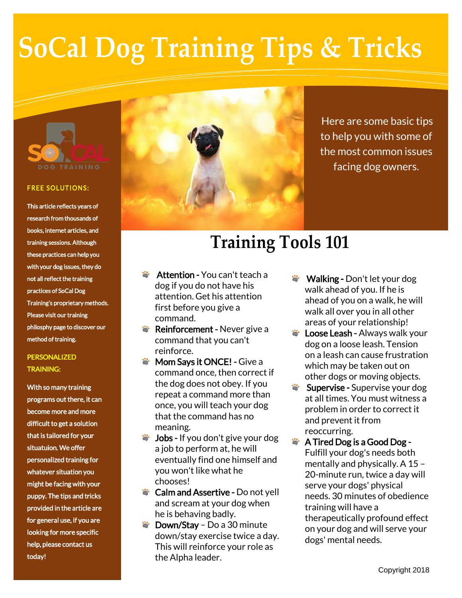# **SoCal Dog Training Tips & Tricks**



#### **FREE SOLUTIONS:**

This article reflects years of research from thousands of books, internet articles, and training sessions. Although these practices can help you with your dog issues, they do not all reflect the training practices of SoCal Dog Training's proprietary methods. Please visit our training philosphy page to discover our method of training.

### PERSONALIZED TRAINING:

With so many training programs out there, it can become more and more difficult to get a solution that is tailored for your situatuion. We offer personalized training for whatever situation you might be facing with your puppy. The tips and tricks provided in the article are for general use, if you are looking for more specific help, please contact us today!



Here are some basic tips to help you with some of the most common issues facing dog owners.

## **Training Tools 101**

- Attention You can't teach a dog if you do not have his attention. Get his attention first before you give a command.
- **\*** Reinforcement Never give a command that you can't reinforce.
- **Wom Says it ONCE! Give a** command once, then correct if the dog does not obey. If you repeat a command more than once, you will teach your dog that the command has no meaning.
- Jobs If you don't give your dog a job to perform at, he will eventually find one himself and you won't like what he chooses!
- Calm and Assertive Do not yell and scream at your dog when he is behaving badly.
- Down/Stay Do a 30 minute down/stay exercise twice a day. This will reinforce your role as the Alpha leader.
- Walking Don't let your dog walk ahead of you. If he is ahead of you on a walk, he will walk all over you in all other areas of your relationship!
- **Coose Leash Always walk your** dog on a loose leash. Tension on a leash can cause frustration which may be taken out on other dogs or moving objects.
- Supervise Supervise your dog at all times. You must witness a problem in order to correct it and prevent it from reoccurring.
- **A** Tired Dog is a Good Dog -Fulfill your dog's needs both mentally and physically. A 15 – 20-minute run, twice a day will serve your dogs' physical needs. 30 minutes of obedience training will have a therapeutically profound effect on your dog and will serve your dogs' mental needs.